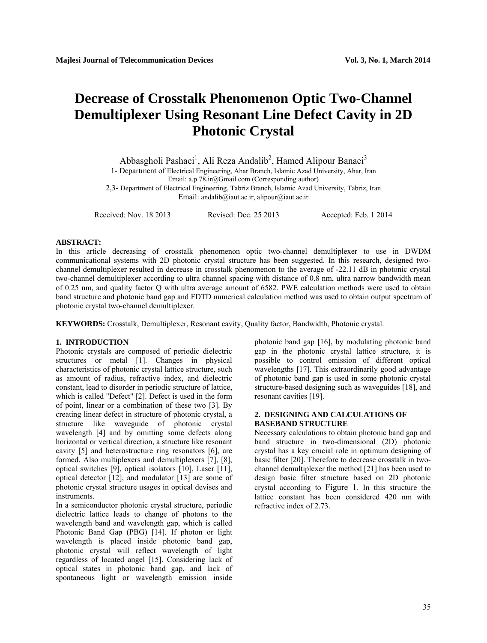# **Decrease of Crosstalk Phenomenon Optic Two-Channel Demultiplexer Using Resonant Line Defect Cavity in 2D Photonic Crystal**

Abbasgholi Pashaei<sup>1</sup>, Ali Reza Andalib<sup>2</sup>, Hamed Alipour Banaei<sup>3</sup> 1- Department of Electrical Engineering, Ahar Branch, Islamic Azad University, Ahar, Iran Email: a.p.78.ir@Gmail.com (Corresponding author) 2,3- Department of Electrical Engineering, Tabriz Branch, Islamic Azad University, Tabriz, Iran

Email: andalib@iaut.ac.ir, alipour@iaut.ac.ir

Received: Nov. 18 2013 Revised: Dec. 25 2013 Accepted: Feb. 1 2014

# **ABSTRACT:**

In this article decreasing of crosstalk phenomenon optic two-channel demultiplexer to use in DWDM communicational systems with 2D photonic crystal structure has been suggested. In this research, designed twochannel demultiplexer resulted in decrease in crosstalk phenomenon to the average of -22.11 dB in photonic crystal two-channel demultiplexer according to ultra channel spacing with distance of 0.8 nm, ultra narrow bandwidth mean of 0.25 nm, and quality factor Q with ultra average amount of 6582. PWE calculation methods were used to obtain band structure and photonic band gap and FDTD numerical calculation method was used to obtain output spectrum of photonic crystal two-channel demultiplexer.

**KEYWORDS:** Crosstalk, Demultiplexer, Resonant cavity, Quality factor, Bandwidth, Photonic crystal.

#### **1. INTRODUCTION**

Photonic crystals are composed of periodic dielectric structures or metal [1]. Changes in physical characteristics of photonic crystal lattice structure, such as amount of radius, refractive index, and dielectric constant, lead to disorder in periodic structure of lattice, which is called "Defect" [2]. Defect is used in the form of point, linear or a combination of these two [3]. By creating linear defect in structure of photonic crystal, a structure like waveguide of photonic crystal wavelength [4] and by omitting some defects along horizontal or vertical direction, a structure like resonant cavity [5] and heterostructure ring resonators [6], are formed. Also multiplexers and demultiplexers [7], [8], optical switches [9], optical isolators [10], Laser [11], optical detector [12], and modulator [13] are some of photonic crystal structure usages in optical devises and instruments.

In a semiconductor photonic crystal structure, periodic dielectric lattice leads to change of photons to the wavelength band and wavelength gap, which is called Photonic Band Gap (PBG) [14]. If photon or light wavelength is placed inside photonic band gap, photonic crystal will reflect wavelength of light regardless of located angel [15]. Considering lack of optical states in photonic band gap, and lack of spontaneous light or wavelength emission inside photonic band gap [16], by modulating photonic band gap in the photonic crystal lattice structure, it is possible to control emission of different optical wavelengths [17]. This extraordinarily good advantage of photonic band gap is used in some photonic crystal structure-based designing such as waveguides [18], and resonant cavities [19].

# **2. DESIGNING AND CALCULATIONS OF BASEBAND STRUCTURE**

Necessary calculations to obtain photonic band gap and band structure in two-dimensional (2D) photonic crystal has a key crucial role in optimum designing of basic filter [20]. Therefore to decrease crosstalk in twochannel demultiplexer the method [21] has been used to design basic filter structure based on 2D photonic crystal according to Figure 1. In this structure the lattice constant has been considered 420 nm with refractive index of 2.73.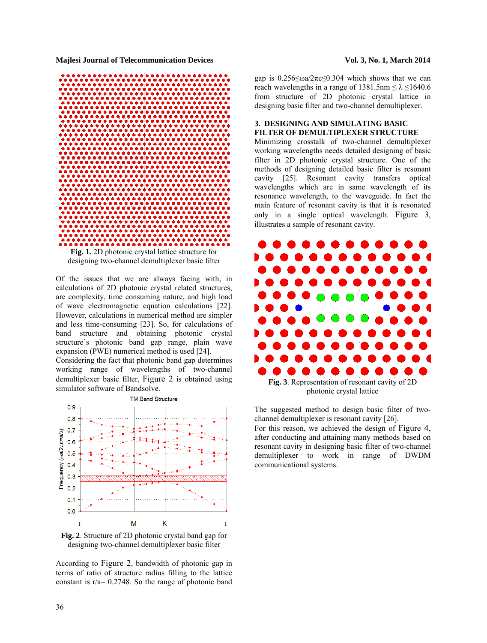

Of the issues that we are always facing with, in calculations of 2D photonic crystal related structures, are complexity, time consuming nature, and high load of wave electromagnetic equation calculations [22]. However, calculations in numerical method are simpler and less time-consuming [23]. So, for calculations of band structure and obtaining photonic crystal structure's photonic band gap range, plain wave

expansion (PWE) numerical method is used [24]. Considering the fact that photonic band gap determines working range of wavelengths of two-channel demultiplexer basic filter, Figure 2 is obtained using simulator software of Bandsolve.



**Fig. 2**. Structure of 2D photonic crystal band gap for designing two-channel demultiplexer basic filter

According to Figure 2, bandwidth of photonic gap in terms of ratio of structure radius filling to the lattice constant is r/a= 0.2748. So the range of photonic band gap is  $0.256 \le \omega a / 2\pi c \le 0.304$  which shows that we can reach wavelengths in a range of  $1381.5$ nm  $\leq \lambda \leq 1640.6$ from structure of 2D photonic crystal lattice in designing basic filter and two-channel demultiplexer.

# **3. DESIGNING AND SIMULATING BASIC FILTER OF DEMULTIPLEXER STRUCTURE**

Minimizing crosstalk of two-channel demultiplexer working wavelengths needs detailed designing of basic filter in 2D photonic crystal structure. One of the methods of designing detailed basic filter is resonant cavity [25]. Resonant cavity transfers optical wavelengths which are in same wavelength of its resonance wavelength, to the waveguide. In fact the main feature of resonant cavity is that it is resonated only in a single optical wavelength. Figure 3, illustrates a sample of resonant cavity.



photonic crystal lattice

The suggested method to design basic filter of twochannel demultiplexer is resonant cavity [26].

For this reason, we achieved the design of Figure 4, after conducting and attaining many methods based on resonant cavity in designing basic filter of two-channel demultiplexer to work in range of DWDM communicational systems.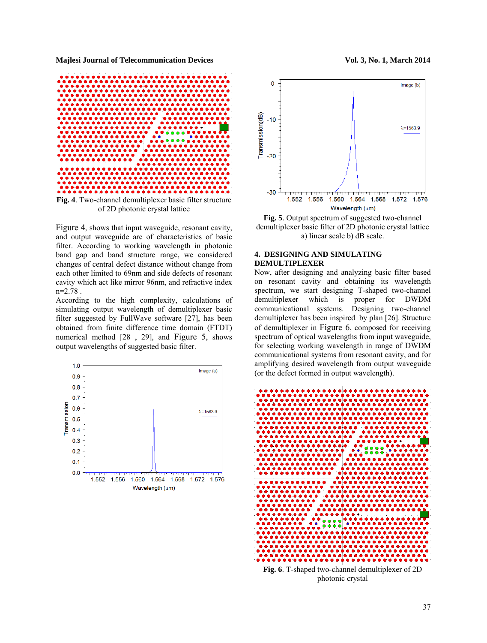

Figure 4, shows that input waveguide, resonant cavity, and output waveguide are of characteristics of basic filter. According to working wavelength in photonic band gap and band structure range, we considered changes of central defect distance without change from each other limited to 69nm and side defects of resonant cavity which act like mirror 96nm, and refractive index  $n=2.78$ .

According to the high complexity, calculations of simulating output wavelength of demultiplexer basic filter suggested by FullWave software [27], has been obtained from finite difference time domain (FTDT) numerical method [28 , 29], and Figure 5, shows output wavelengths of suggested basic filter.





**Fig. 5**. Output spectrum of suggested two-channel demultiplexer basic filter of 2D photonic crystal lattice a) linear scale b) dB scale.

# **4. DESIGNING AND SIMULATING DEMULTIPLEXER**

Now, after designing and analyzing basic filter based on resonant cavity and obtaining its wavelength spectrum, we start designing T-shaped two-channel demultiplexer which is proper for DWDM communicational systems. Designing two-channel demultiplexer has been inspired by plan [26]. Structure of demultiplexer in Figure 6, composed for receiving spectrum of optical wavelengths from input waveguide, for selecting working wavelength in range of DWDM communicational systems from resonant cavity, and for amplifying desired wavelength from output waveguide (or the defect formed in output wavelength).



**Fig. 6**. T-shaped two-channel demultiplexer of 2D photonic crystal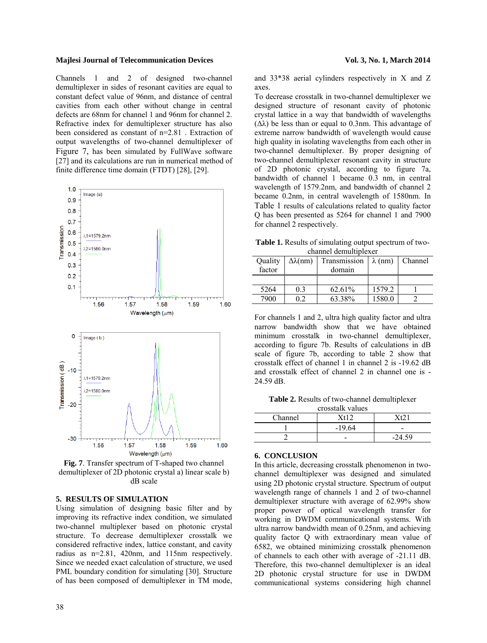Channels 1 and 2 of designed two-channel demultiplexer in sides of resonant cavities are equal to constant defect value of 96nm, and distance of central cavities from each other without change in central defects are 68nm for channel 1 and 96nm for channel 2. Refractive index for demultiplexer structure has also been considered as constant of n=2.81 . Extraction of output wavelengths of two-channel demultiplexer of Figure 7, has been simulated by FullWave software [27] and its calculations are run in numerical method of finite difference time domain (FTDT) [28], [29].



**Fig. 7**. Transfer spectrum of T-shaped two channel demultiplexer of 2D photonic crystal a) linear scale b) dB scale

### **5. RESULTS OF SIMULATION**

Using simulation of designing basic filter and by improving its refractive index condition, we simulated two-channel multiplexer based on photonic crystal structure. To decrease demultiplexer crosstalk we considered refractive index, lattice constant, and cavity radius as n=2.81, 420nm, and 115nm respectively. Since we needed exact calculation of structure, we used PML boundary condition for simulating [30]. Structure of has been composed of demultiplexer in TM mode,

and 33\*38 aerial cylinders respectively in X and Z axes.

To decrease crosstalk in two-channel demultiplexer we designed structure of resonant cavity of photonic crystal lattice in a way that bandwidth of wavelengths ( $Δλ$ ) be less than or equal to 0.3nm. This advantage of extreme narrow bandwidth of wavelength would cause high quality in isolating wavelengths from each other in two-channel demultiplexer. By proper designing of two-channel demultiplexer resonant cavity in structure of 2D photonic crystal, according to figure 7a, bandwidth of channel 1 became 0.3 nm, in central wavelength of 1579.2nm, and bandwidth of channel 2 became 0.2nm, in central wavelength of 1580nm. In Table 1 results of calculations related to quality factor Q has been presented as 5264 for channel 1 and 7900 for channel 2 respectively.

**Table 1.** Results of simulating output spectrum of twochannel demultiplexer

| Quality | $\Delta\lambda$ (nm) | Transmission | $\lambda$ (nm) | Channel |  |
|---------|----------------------|--------------|----------------|---------|--|
| factor  |                      | domain       |                |         |  |
|         |                      |              |                |         |  |
| 5264    | 0.3                  | 62.61%       | 1579.2         |         |  |
| 7900    |                      | 63.38%       | 1580.0         |         |  |

For channels 1 and 2, ultra high quality factor and ultra narrow bandwidth show that we have obtained minimum crosstalk in two-channel demultiplexer, according to figure 7b. Results of calculations in dB scale of figure 7b, according to table 2 show that crosstalk effect of channel 1 in channel 2 is -19.62 dB and crosstalk effect of channel 2 in channel one is -24.59 dB.

**Table 2.** Results of two-channel demultiplexer

| crosstalk values |              |   |  |  |  |
|------------------|--------------|---|--|--|--|
| Channel          | X+12<br>71 Y |   |  |  |  |
|                  | $-19.64$     | - |  |  |  |
|                  |              |   |  |  |  |

#### **6. CONCLUSION**

In this article, decreasing crosstalk phenomenon in twochannel demultiplexer was designed and simulated using 2D photonic crystal structure. Spectrum of output wavelength range of channels 1 and 2 of two-channel demultiplexer structure with average of 62.99% show proper power of optical wavelength transfer for working in DWDM communicational systems. With ultra narrow bandwidth mean of 0.25nm, and achieving quality factor Q with extraordinary mean value of 6582, we obtained minimizing crosstalk phenomenon of channels to each other with average of -21.11 dB. Therefore, this two-channel demultiplexer is an ideal 2D photonic crystal structure for use in DWDM communicational systems considering high channel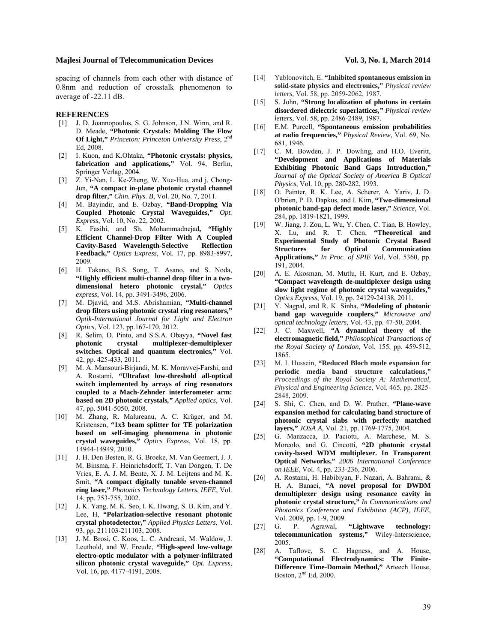spacing of channels from each other with distance of 0.8nm and reduction of crosstalk phenomenon to average of -22.11 dB.

#### **REFERENCES**

- [1] J. D. Joannopoulos, S. G. Johnson, J.N. Winn, and R. D. Meade, **"Photonic Crystals: Molding The Flow Of Light,"** *Princeton: Princeton University Press*, 2nd Ed, 2008.
- [2] I. Kuon, and K.Ohtaka, **"Photonic crystals: physics, fabrication and applications,"** Vol. 94, Berlin, Springer Verlag, 2004.
- [3] Z. Yi-Nan, L. Ke-Zheng, W. Xue-Hua, and j. Chong-Jun, **"A compact in-plane photonic crystal channel drop filter,"** *Chin. Phys. B*, Vol. 20, No. 7, 2011.
- [4] M. Bayindir, and E. Ozbay, **"Band-Dropping Via Coupled Photonic Crystal Waveguides,"** *Opt. Express*, Vol. 10, No. 22, 2002.
- [5] K. Fasihi, and Sh. Mohammadnejad**, "Highly Efficient Channel-Drop Filter With A Coupled**  Cavity-Based Wavelength-Selective **Feedback,"** *Optics Express*, Vol. 17, pp. 8983-8997, 2009.
- [6] H. Takano, B.S. Song, T. Asano, and S. Noda, **"Highly efficient multi-channel drop filter in a twodimensional hetero photonic crystal,"** *Optics express*, Vol. 14, pp. 3491-3496, 2006.
- [7] M. Djavid, and M.S. Abrishamian, **"Multi-channel drop filters using photonic crystal ring resonators,"** *Optik-International Journal for Light and Electron Optics*, Vol. 123, pp.167-170, 2012.
- [8] R. Selim, D. Pinto, and S.S.A. Obayya, **"Novel fast photonic crystal multiplexer-demultiplexer switches. Optical and quantum electronics,"** Vol. 42, pp. 425-433, 2011.
- [9] M. A. Mansouri-Birjandi, M. K. Moravvej-Farshi, and A. Rostami, **"Ultrafast low-threshold all-optical switch implemented by arrays of ring resonators coupled to a Mach-Zehnder interferometer arm: based on 2D photonic crystals***," Applied optics*, Vol. 47, pp. 5041-5050, 2008.
- [10] M. Zhang, R. Malureanu, A. C. Krüger, and M. Kristensen, **"1x3 beam splitter for TE polarization based on self-imaging phenomena in photonic crystal waveguides,"** *Optics Express*, Vol. 18, pp. 14944-14949, 2010.
- [11] J. H. Den Besten, R. G. Broeke, M. Van Geemert, J. J. M. Binsma, F. Heinrichsdorff, T. Van Dongen, T. De Vries, E. A. J. M. Bente, X. J. M. Leijtens and M. K. Smit, **"A compact digitally tunable seven-channel ring laser,"** *Photonics Technology Letters*, *IEEE*, Vol. 14, pp. 753-755, 2002.
- [12] J. K. Yang, M. K. Seo, I. K. Hwang, S. B. Kim, and Y. Lee, H, **"Polarization-selective resonant photonic crystal photodetector,"** *Applied Physics Letters*, Vol. 93, pp. 211103-211103, 2008.
- [13] J. M. Brosi, C. Koos, L. C. Andreani, M. Waldow, J. Leuthold, and W. Freude, **"High-speed low-voltage electro-optic modulator with a polymer-infiltrated silicon photonic crystal waveguide,"** *Opt. Express*, Vol. 16, pp. 4177-4191, 2008.
- [14] Yablonovitch, E. **"Inhibited spontaneous emission in solid-state physics and electronics,"** *Physical review letters*, Vol. 58, pp. 2059-2062, 1987.
- [15] S. John, **"Strong localization of photons in certain disordered dielectric superlattices***," Physical review letters*, Vol. 58, pp. 2486-2489, 1987.
- [16] E.M. Purcell, **"Spontaneous emission probabilities at radio frequencies,"** *Physical Review*, Vol. 69, No. 681, 1946.
- [17] C. M. Bowden, J. P. Dowling, and H.O. Everitt, **"Development and Applications of Materials Exhibiting Photonic Band Gaps Introduction,"** *Journal of the Optical Society of America B Optical Physics*, Vol. 10, pp. 280-282, 1993.
- [18] O. Painter, R. K. Lee, A. Scherer, A. Yariv, J. D. O'brien, P. D. Dapkus, and I. Kim, **"Two-dimensional photonic band-gap defect mode laser,"** *Science*, Vol. 284, pp. 1819-1821, 1999.
- [19] W. Jiang, J. Zou, L. Wu, Y. Chen, C. Tian, B. Howley, X. Lu, and R. T. Chen, **"Theoretical and Experimental Study of Photonic Crystal Based Structures for Optical Communication Applications,"** *In Proc. of SPIE Vol*, Vol. 5360, pp. 191, 2004.
- [20] A. E. Akosman, M. Mutlu, H. Kurt, and E. Ozbay, **"Compact wavelength de-multiplexer design using slow light regime of photonic crystal waveguides,"** *Optics Express*, Vol. 19, pp. 24129-24138, 2011.
- [21] Y. Nagpal, and R. K. Sinha, **"Modeling of photonic band gap waveguide couplers,"** *Microwave and optical technology letters*, Vol. 43, pp. 47-50, 2004.
- [22] J. C. Maxwell, **"A dynamical theory of the electromagnetic field,"** *Philosophical Transactions of the Royal Society of London*, Vol. 155, pp. 459-512, 1865.
- [23] M. I. Hussein, **"Reduced Bloch mode expansion for periodic media band structure calculations,"** *Proceedings of the Royal Society A: Mathematical, Physical and Engineering Science*, Vol. 465, pp. 2825- 2848, 2009.
- [24] S. Shi, C. Chen, and D. W. Prather, **"Plane-wave expansion method for calculating band structure of photonic crystal slabs with perfectly matched layers,"** *JOSA A*, Vol. 21, pp. 1769-1775, 2004.
- [25] G. Manzacca, D. Paciotti, A. Marchese, M. S. Moreolo, and G. Cincotti, **"2D photonic crystal cavity-based WDM multiplexer. In Transparent Optical Networks,"** *2006 International Conference on IEEE*, Vol. 4, pp. 233-236, 2006.
- [26] A. Rostami, H. Habibiyan, F. Nazari, A. Bahrami, & H. A. Banaei, **"A novel proposal for DWDM demultiplexer design using resonance cavity in photonic crystal structure,"** *In Communications and Photonics Conference and Exhibition (ACP), IEEE*, Vol. 2009, pp. 1-9, 2009.
- [27] G. P. Agrawal, **"Lightwave technology: telecommunication systems,"** Wiley-Interscience, 2005.
- [28] A. Taflove, S. C. Hagness, and A. House, **"Computational Electrodynamics: The Finite-Difference Time-Domain Method,"** Arteech House, Boston, 2nd Ed, 2000.